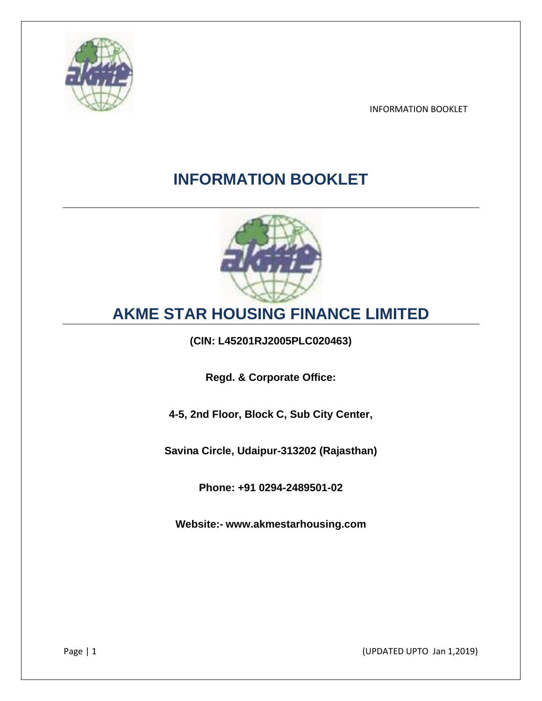

# **INFORMATION BOOKLET**



# **AKME STAR HOUSING FINANCE LIMITED**

**(CIN: L45201RJ2005PLC020463)**

**Regd. & Corporate Office:**

**4-5, 2nd Floor, Block C, Sub City Center,**

**Savina Circle, Udaipur-313202 (Rajasthan)**

**Phone: +91 0294-2489501-02**

**Website:- www.akmestarhousing.com**

Page | 1 (UPDATED UPTO Jan 1,2019)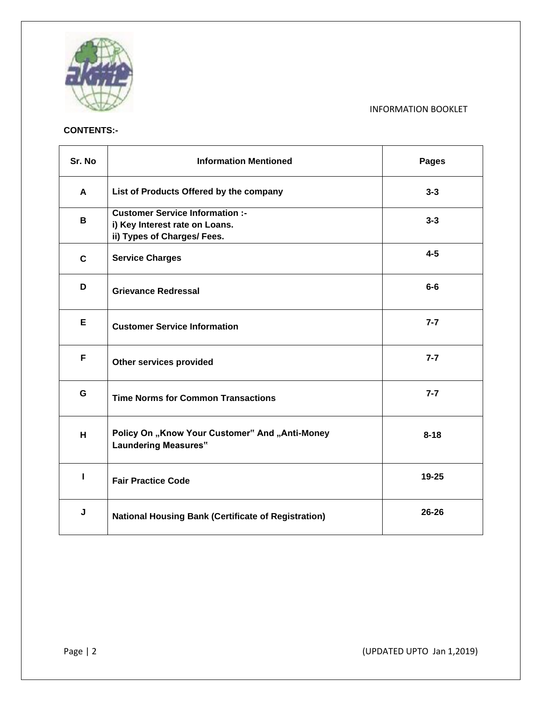

# **CONTENTS:-**

| Sr. No       | <b>Information Mentioned</b>                                                                            | <b>Pages</b> |
|--------------|---------------------------------------------------------------------------------------------------------|--------------|
| A            | List of Products Offered by the company                                                                 | $3 - 3$      |
| В            | <b>Customer Service Information :-</b><br>i) Key Interest rate on Loans.<br>ii) Types of Charges/ Fees. | $3 - 3$      |
| $\mathbf{C}$ | <b>Service Charges</b>                                                                                  | $4 - 5$      |
| D            | <b>Grievance Redressal</b>                                                                              | $6-6$        |
| Е            | <b>Customer Service Information</b>                                                                     | $7 - 7$      |
| F            | Other services provided                                                                                 | $7 - 7$      |
| G            | <b>Time Norms for Common Transactions</b>                                                               | $7 - 7$      |
| H.           | Policy On "Know Your Customer" And "Anti-Money<br><b>Laundering Measures"</b>                           | $8 - 18$     |
| п            | <b>Fair Practice Code</b>                                                                               | 19-25        |
| J            | <b>National Housing Bank (Certificate of Registration)</b>                                              | 26-26        |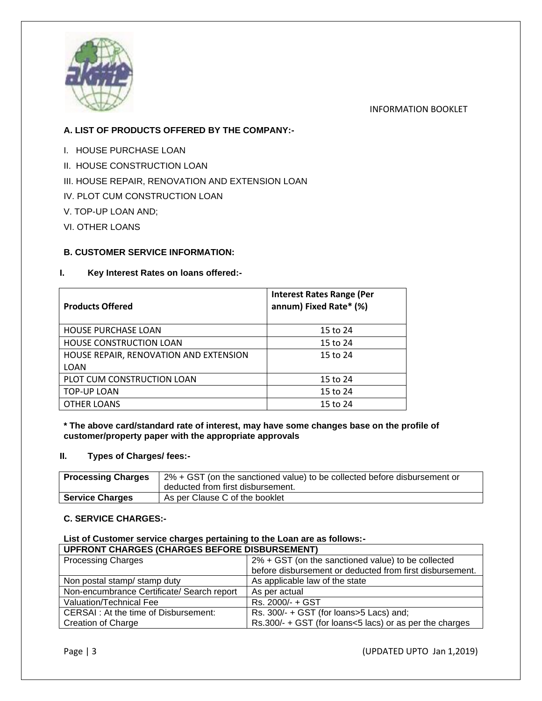

# **A. LIST OF PRODUCTS OFFERED BY THE COMPANY:-**

- I. HOUSE PURCHASE LOAN
- II. HOUSE CONSTRUCTION LOAN
- III. HOUSE REPAIR, RENOVATION AND EXTENSION LOAN
- IV. PLOT CUM CONSTRUCTION LOAN
- V. TOP-UP LOAN AND;
- VI. OTHER LOANS

# **B. CUSTOMER SERVICE INFORMATION:**

## **I. Key Interest Rates on loans offered:-**

| <b>Products Offered</b>                | <b>Interest Rates Range (Per</b><br>annum) Fixed Rate* (%) |
|----------------------------------------|------------------------------------------------------------|
| <b>HOUSE PURCHASE LOAN</b>             | 15 to 24                                                   |
| <b>HOUSE CONSTRUCTION LOAN</b>         | 15 to 24                                                   |
| HOUSE REPAIR, RENOVATION AND EXTENSION | 15 to 24                                                   |
| LOAN                                   |                                                            |
| PLOT CUM CONSTRUCTION LOAN             | 15 to 24                                                   |
| <b>TOP-UP LOAN</b>                     | 15 to 24                                                   |
| <b>OTHER LOANS</b>                     | 15 to 24                                                   |

#### **\* The above card/standard rate of interest, may have some changes base on the profile of customer/property paper with the appropriate approvals**

## **II. Types of Charges/ fees:-**

| <b>Processing Charges</b> | 2% + GST (on the sanctioned value) to be collected before disbursement or<br>deducted from first disbursement. |
|---------------------------|----------------------------------------------------------------------------------------------------------------|
| <b>Service Charges</b>    | As per Clause C of the booklet                                                                                 |

## **C. SERVICE CHARGES:-**

# **List of Customer service charges pertaining to the Loan are as follows:-**

| <b>UPFRONT CHARGES (CHARGES BEFORE DISBURSEMENT)</b> |                                                          |  |  |
|------------------------------------------------------|----------------------------------------------------------|--|--|
| <b>Processing Charges</b>                            | 2% + GST (on the sanctioned value) to be collected       |  |  |
|                                                      | before disbursement or deducted from first disbursement. |  |  |
| Non postal stamp/ stamp duty                         | As applicable law of the state                           |  |  |
| Non-encumbrance Certificate/ Search report           | As per actual                                            |  |  |
| Valuation/Technical Fee                              | Rs. 2000/- + GST                                         |  |  |
| CERSAI : At the time of Disbursement:                | Rs. 300/- + GST (for loans>5 Lacs) and;                  |  |  |
| <b>Creation of Charge</b>                            | Rs.300/- + GST (for loans<5 lacs) or as per the charges  |  |  |

## Page | 3 (UPDATED UPTO Jan 1,2019)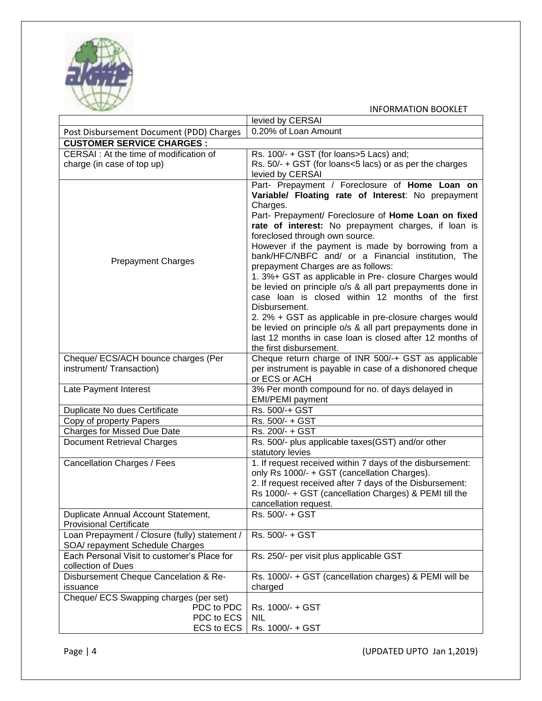

|                                                                       | levied by CERSAI                                                                                     |
|-----------------------------------------------------------------------|------------------------------------------------------------------------------------------------------|
| Post Disbursement Document (PDD) Charges                              | 0.20% of Loan Amount                                                                                 |
| <b>CUSTOMER SERVICE CHARGES:</b>                                      |                                                                                                      |
| CERSAI : At the time of modification of                               | Rs. 100/- + GST (for loans>5 Lacs) and;                                                              |
| charge (in case of top up)                                            | Rs. 50/- + GST (for loans<5 lacs) or as per the charges                                              |
|                                                                       | levied by CERSAI                                                                                     |
|                                                                       | Part- Prepayment / Foreclosure of Home Loan on<br>Variable/ Floating rate of Interest: No prepayment |
|                                                                       | Charges.                                                                                             |
|                                                                       | Part- Prepayment/ Foreclosure of Home Loan on fixed                                                  |
|                                                                       | rate of interest: No prepayment charges, if loan is                                                  |
|                                                                       | foreclosed through own source.                                                                       |
|                                                                       | However if the payment is made by borrowing from a                                                   |
| <b>Prepayment Charges</b>                                             | bank/HFC/NBFC and/ or a Financial institution, The                                                   |
|                                                                       | prepayment Charges are as follows:                                                                   |
|                                                                       | 1. 3%+ GST as applicable in Pre- closure Charges would                                               |
|                                                                       | be levied on principle o/s & all part prepayments done in                                            |
|                                                                       | case loan is closed within 12 months of the first<br>Disbursement.                                   |
|                                                                       | 2. 2% + GST as applicable in pre-closure charges would                                               |
|                                                                       | be levied on principle o/s & all part prepayments done in                                            |
|                                                                       | last 12 months in case loan is closed after 12 months of                                             |
|                                                                       | the first disbursement.                                                                              |
| Cheque/ ECS/ACH bounce charges (Per                                   | Cheque return charge of INR 500/-+ GST as applicable                                                 |
| instrument/ Transaction)                                              | per instrument is payable in case of a dishonored cheque                                             |
|                                                                       | or ECS or ACH                                                                                        |
| Late Payment Interest                                                 | 3% Per month compound for no. of days delayed in                                                     |
|                                                                       | <b>EMI/PEMI</b> payment                                                                              |
| Duplicate No dues Certificate                                         | Rs. 500/-+ GST                                                                                       |
| Copy of property Papers<br><b>Charges for Missed Due Date</b>         | Rs. 500/- + GST<br>Rs. 200/- + GST                                                                   |
| <b>Document Retrieval Charges</b>                                     | Rs. 500/- plus applicable taxes(GST) and/or other                                                    |
|                                                                       | statutory levies                                                                                     |
| <b>Cancellation Charges / Fees</b>                                    | 1. If request received within 7 days of the disbursement:                                            |
|                                                                       | only Rs 1000/- + GST (cancellation Charges).                                                         |
|                                                                       | 2. If request received after 7 days of the Disbursement:                                             |
|                                                                       | Rs 1000/- + GST (cancellation Charges) & PEMI till the                                               |
|                                                                       | cancellation request.                                                                                |
| Duplicate Annual Account Statement,<br><b>Provisional Certificate</b> | Rs. 500/- + GST                                                                                      |
| Loan Prepayment / Closure (fully) statement /                         | Rs. 500/- + GST                                                                                      |
| SOA/ repayment Schedule Charges                                       |                                                                                                      |
| Each Personal Visit to customer's Place for                           | Rs. 250/- per visit plus applicable GST                                                              |
| collection of Dues                                                    |                                                                                                      |
| Disbursement Cheque Cancelation & Re-                                 | Rs. 1000/- + GST (cancellation charges) & PEMI will be                                               |
| issuance                                                              | charged                                                                                              |
| Cheque/ ECS Swapping charges (per set)                                |                                                                                                      |
| PDC to PDC<br>PDC to ECS                                              | Rs. 1000/- + GST                                                                                     |
| ECS to ECS                                                            | NIL<br>Rs. 1000/- + GST                                                                              |
|                                                                       |                                                                                                      |

Page | 4 (UPDATED UPTO Jan 1,2019)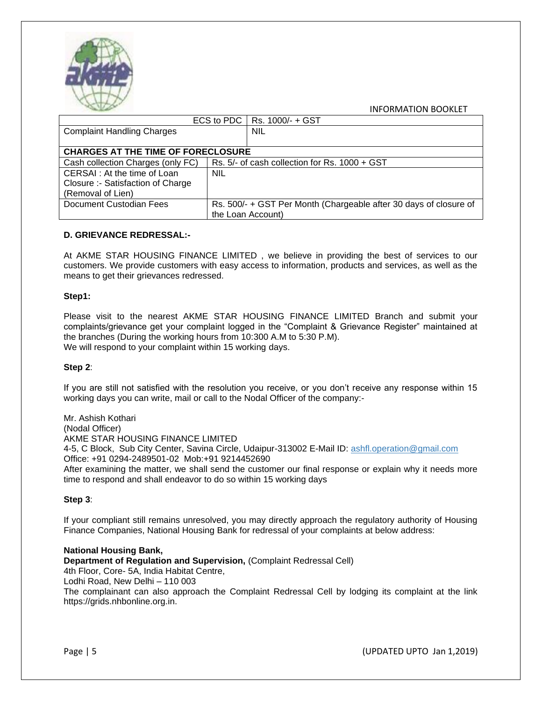

|                                           |            | ECS to PDC   Rs. 1000/- + GST                                     |  |
|-------------------------------------------|------------|-------------------------------------------------------------------|--|
| <b>Complaint Handling Charges</b>         |            | <b>NIL</b>                                                        |  |
|                                           |            |                                                                   |  |
| <b>CHARGES AT THE TIME OF FORECLOSURE</b> |            |                                                                   |  |
| Cash collection Charges (only FC)         |            | Rs. 5/- of cash collection for Rs. 1000 + GST                     |  |
| CERSAI : At the time of Loan              | <b>NIL</b> |                                                                   |  |
| Closure :- Satisfaction of Charge         |            |                                                                   |  |
| (Removal of Lien)                         |            |                                                                   |  |
| Document Custodian Fees                   |            | Rs. 500/- + GST Per Month (Chargeable after 30 days of closure of |  |
|                                           |            | the Loan Account)                                                 |  |

#### **D. GRIEVANCE REDRESSAL:-**

At AKME STAR HOUSING FINANCE LIMITED , we believe in providing the best of services to our customers. We provide customers with easy access to information, products and services, as well as the means to get their grievances redressed.

#### **Step1:**

Please visit to the nearest AKME STAR HOUSING FINANCE LIMITED Branch and submit your complaints/grievance get your complaint logged in the "Complaint & Grievance Register" maintained at the branches (During the working hours from 10:300 A.M to 5:30 P.M). We will respond to your complaint within 15 working days.

#### **Step 2**:

If you are still not satisfied with the resolution you receive, or you don't receive any response within 15 working days you can write, mail or call to the Nodal Officer of the company:-

Mr. Ashish Kothari (Nodal Officer) AKME STAR HOUSING FINANCE LIMITED 4-5, C Block, Sub City Center, Savina Circle, Udaipur-313002 E-Mail ID: [ashfl.operation@gmail.com](mailto:ashfl.operation@gmail.com) Office: +91 0294-2489501-02 Mob:+91 9214452690 After examining the matter, we shall send the customer our final response or explain why it needs more time to respond and shall endeavor to do so within 15 working days

#### **Step 3**:

If your compliant still remains unresolved, you may directly approach the regulatory authority of Housing Finance Companies, National Housing Bank for redressal of your complaints at below address:

#### **National Housing Bank,**

**Department of Regulation and Supervision,** (Complaint Redressal Cell)

4th Floor, Core- 5A, India Habitat Centre,

Lodhi Road, New Delhi – 110 003

The complainant can also approach the Complaint Redressal Cell by lodging its complaint at the link https://grids.nhbonline.org.in.

Page | 5 (UPDATED UPTO Jan 1,2019)

INFORMATION BOOKLET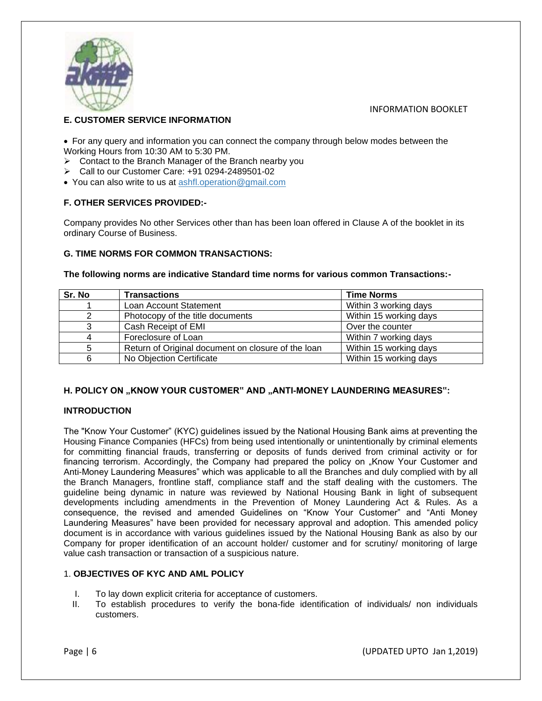

# **E. CUSTOMER SERVICE INFORMATION**

• For any query and information you can connect the company through below modes between the Working Hours from 10:30 AM to 5:30 PM.

- ➢ Contact to the Branch Manager of the Branch nearby you
- ➢ Call to our Customer Care: +91 0294-2489501-02
- You can also write to us at [ashfl.operation@gmail.com](mailto:ashfl.operation@gmail.com)

## **F. OTHER SERVICES PROVIDED:-**

Company provides No other Services other than has been loan offered in Clause A of the booklet in its ordinary Course of Business.

## **G. TIME NORMS FOR COMMON TRANSACTIONS:**

#### **The following norms are indicative Standard time norms for various common Transactions:-**

| Sr. No | <b>Transactions</b>                                | <b>Time Norms</b>      |
|--------|----------------------------------------------------|------------------------|
|        | Loan Account Statement                             | Within 3 working days  |
|        | Photocopy of the title documents                   | Within 15 working days |
| 3      | Cash Receipt of EMI                                | Over the counter       |
|        | Foreclosure of Loan                                | Within 7 working days  |
|        | Return of Original document on closure of the loan | Within 15 working days |
|        | No Objection Certificate                           | Within 15 working days |

## **H. POLICY ON "KNOW YOUR CUSTOMER" AND "ANTI-MONEY LAUNDERING MEASURES":**

## **INTRODUCTION**

The "Know Your Customer" (KYC) guidelines issued by the National Housing Bank aims at preventing the Housing Finance Companies (HFCs) from being used intentionally or unintentionally by criminal elements for committing financial frauds, transferring or deposits of funds derived from criminal activity or for financing terrorism. Accordingly, the Company had prepared the policy on "Know Your Customer and Anti-Money Laundering Measures" which was applicable to all the Branches and duly complied with by all the Branch Managers, frontline staff, compliance staff and the staff dealing with the customers. The guideline being dynamic in nature was reviewed by National Housing Bank in light of subsequent developments including amendments in the Prevention of Money Laundering Act & Rules. As a consequence, the revised and amended Guidelines on "Know Your Customer" and "Anti Money Laundering Measures" have been provided for necessary approval and adoption. This amended policy document is in accordance with various guidelines issued by the National Housing Bank as also by our Company for proper identification of an account holder/ customer and for scrutiny/ monitoring of large value cash transaction or transaction of a suspicious nature.

## 1. **OBJECTIVES OF KYC AND AML POLICY**

- I. To lay down explicit criteria for acceptance of customers.
- II. To establish procedures to verify the bona-fide identification of individuals/ non individuals customers.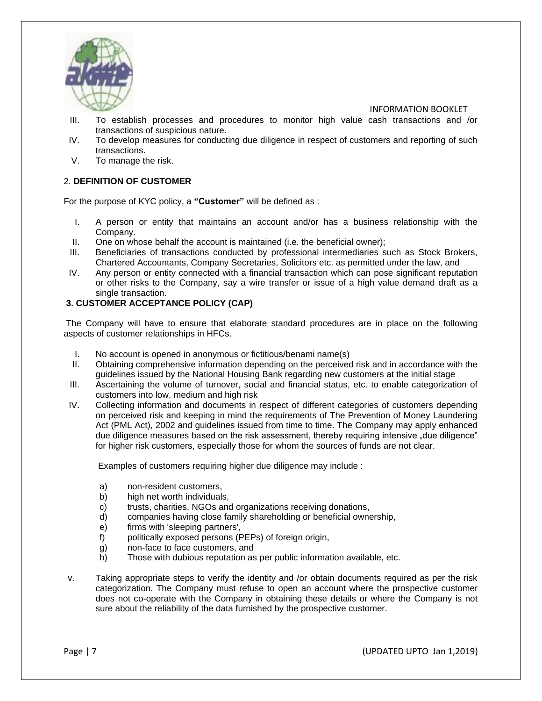

- III. To establish processes and procedures to monitor high value cash transactions and /or transactions of suspicious nature.
- IV. To develop measures for conducting due diligence in respect of customers and reporting of such transactions.
- V. To manage the risk.

# 2. **DEFINITION OF CUSTOMER**

For the purpose of KYC policy, a **"Customer"** will be defined as :

- I. A person or entity that maintains an account and/or has a business relationship with the Company.
- II. One on whose behalf the account is maintained (i.e. the beneficial owner);
- III. Beneficiaries of transactions conducted by professional intermediaries such as Stock Brokers, Chartered Accountants, Company Secretaries, Solicitors etc. as permitted under the law, and
- IV. Any person or entity connected with a financial transaction which can pose significant reputation or other risks to the Company, say a wire transfer or issue of a high value demand draft as a single transaction.

## **3. CUSTOMER ACCEPTANCE POLICY (CAP)**

The Company will have to ensure that elaborate standard procedures are in place on the following aspects of customer relationships in HFCs.

- I. No account is opened in anonymous or fictitious/benami name(s)
- II. Obtaining comprehensive information depending on the perceived risk and in accordance with the guidelines issued by the National Housing Bank regarding new customers at the initial stage
- III. Ascertaining the volume of turnover, social and financial status, etc. to enable categorization of customers into low, medium and high risk
- IV. Collecting information and documents in respect of different categories of customers depending on perceived risk and keeping in mind the requirements of The Prevention of Money Laundering Act (PML Act), 2002 and guidelines issued from time to time. The Company may apply enhanced due diligence measures based on the risk assessment, thereby requiring intensive "due diligence" for higher risk customers, especially those for whom the sources of funds are not clear.

Examples of customers requiring higher due diligence may include :

- a) non-resident customers,
- b) high net worth individuals,
- c) trusts, charities, NGOs and organizations receiving donations,
- d) companies having close family shareholding or beneficial ownership,
- e) firms with 'sleeping partners',
- f) politically exposed persons (PEPs) of foreign origin,
- g) non-face to face customers, and
- h) Those with dubious reputation as per public information available, etc.
- v. Taking appropriate steps to verify the identity and /or obtain documents required as per the risk categorization. The Company must refuse to open an account where the prospective customer does not co-operate with the Company in obtaining these details or where the Company is not sure about the reliability of the data furnished by the prospective customer.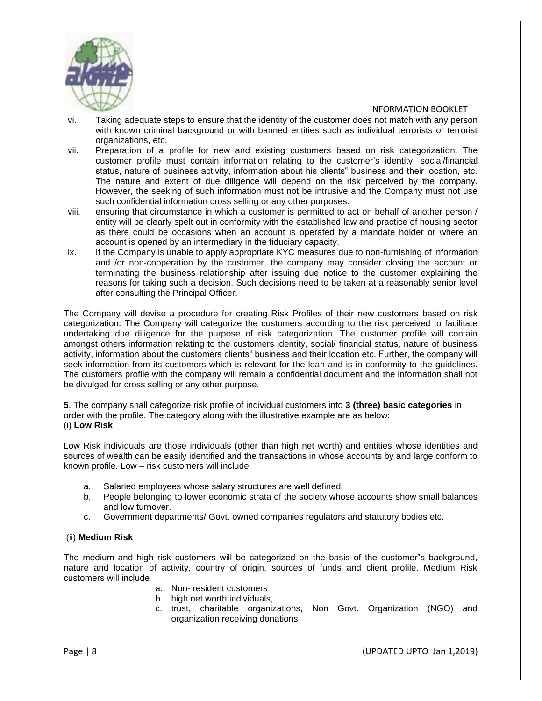

- vi. Taking adequate steps to ensure that the identity of the customer does not match with any person with known criminal background or with banned entities such as individual terrorists or terrorist organizations, etc.
- vii. Preparation of a profile for new and existing customers based on risk categorization. The customer profile must contain information relating to the customer's identity, social/financial status, nature of business activity, information about his clients" business and their location, etc. The nature and extent of due diligence will depend on the risk perceived by the company. However, the seeking of such information must not be intrusive and the Company must not use such confidential information cross selling or any other purposes.
- viii. ensuring that circumstance in which a customer is permitted to act on behalf of another person / entity will be clearly spelt out in conformity with the established law and practice of housing sector as there could be occasions when an account is operated by a mandate holder or where an account is opened by an intermediary in the fiduciary capacity.
- ix. If the Company is unable to apply appropriate KYC measures due to non-furnishing of information and /or non-cooperation by the customer, the company may consider closing the account or terminating the business relationship after issuing due notice to the customer explaining the reasons for taking such a decision. Such decisions need to be taken at a reasonably senior level after consulting the Principal Officer.

The Company will devise a procedure for creating Risk Profiles of their new customers based on risk categorization. The Company will categorize the customers according to the risk perceived to facilitate undertaking due diligence for the purpose of risk categorization. The customer profile will contain amongst others information relating to the customers identity, social/ financial status, nature of business activity, information about the customers clients" business and their location etc. Further, the company will seek information from its customers which is relevant for the loan and is in conformity to the guidelines. The customers profile with the company will remain a confidential document and the information shall not be divulged for cross selling or any other purpose.

**5**. The company shall categorize risk profile of individual customers into **3 (three) basic categories** in order with the profile. The category along with the illustrative example are as below: (i) **Low Risk**

Low Risk individuals are those individuals (other than high net worth) and entities whose identities and sources of wealth can be easily identified and the transactions in whose accounts by and large conform to known profile. Low – risk customers will include

- a. Salaried employees whose salary structures are well defined.
- b. People belonging to lower economic strata of the society whose accounts show small balances and low turnover.
- c. Government departments/ Govt. owned companies regulators and statutory bodies etc.

## (ii) **Medium Risk**

The medium and high risk customers will be categorized on the basis of the customer"s background, nature and location of activity, country of origin, sources of funds and client profile. Medium Risk customers will include

- a. Non- resident customers
- b. high net worth individuals,
- c. trust, charitable organizations, Non Govt. Organization (NGO) and organization receiving donations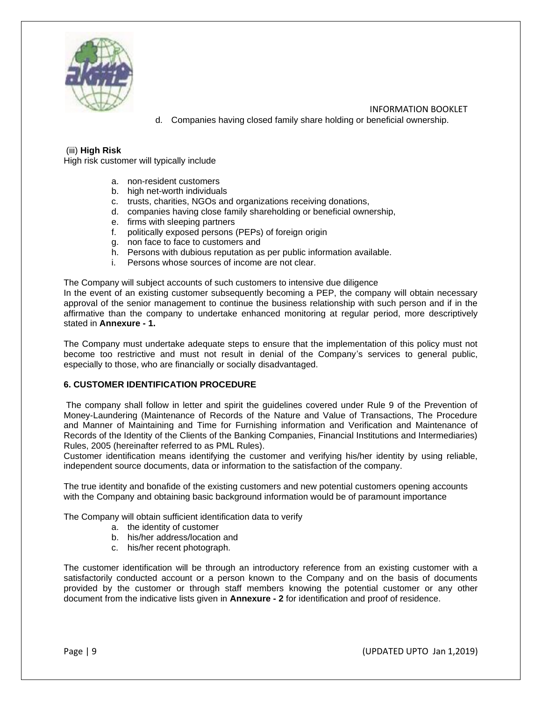

 INFORMATION BOOKLET d. Companies having closed family share holding or beneficial ownership.

## (iii) **High Risk**

High risk customer will typically include

- a. non-resident customers
- b. high net-worth individuals
- c. trusts, charities, NGOs and organizations receiving donations,
- d. companies having close family shareholding or beneficial ownership,
- e. firms with sleeping partners
- f. politically exposed persons (PEPs) of foreign origin
- g. non face to face to customers and
- h. Persons with dubious reputation as per public information available.
- i. Persons whose sources of income are not clear.

The Company will subject accounts of such customers to intensive due diligence

In the event of an existing customer subsequently becoming a PEP, the company will obtain necessary approval of the senior management to continue the business relationship with such person and if in the affirmative than the company to undertake enhanced monitoring at regular period, more descriptively stated in **Annexure - 1.**

The Company must undertake adequate steps to ensure that the implementation of this policy must not become too restrictive and must not result in denial of the Company's services to general public, especially to those, who are financially or socially disadvantaged.

#### **6. CUSTOMER IDENTIFICATION PROCEDURE**

The company shall follow in letter and spirit the guidelines covered under Rule 9 of the Prevention of Money-Laundering (Maintenance of Records of the Nature and Value of Transactions, The Procedure and Manner of Maintaining and Time for Furnishing information and Verification and Maintenance of Records of the Identity of the Clients of the Banking Companies, Financial Institutions and Intermediaries) Rules, 2005 (hereinafter referred to as PML Rules).

Customer identification means identifying the customer and verifying his/her identity by using reliable, independent source documents, data or information to the satisfaction of the company.

The true identity and bonafide of the existing customers and new potential customers opening accounts with the Company and obtaining basic background information would be of paramount importance

The Company will obtain sufficient identification data to verify

- a. the identity of customer
- b. his/her address/location and
- c. his/her recent photograph.

The customer identification will be through an introductory reference from an existing customer with a satisfactorily conducted account or a person known to the Company and on the basis of documents provided by the customer or through staff members knowing the potential customer or any other document from the indicative lists given in **Annexure - 2** for identification and proof of residence.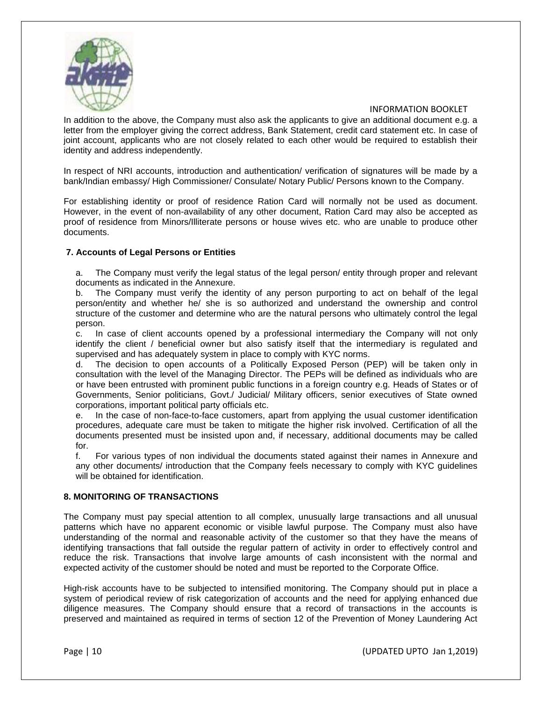

In addition to the above, the Company must also ask the applicants to give an additional document e.g. a letter from the employer giving the correct address, Bank Statement, credit card statement etc. In case of joint account, applicants who are not closely related to each other would be required to establish their identity and address independently.

In respect of NRI accounts, introduction and authentication/ verification of signatures will be made by a bank/Indian embassy/ High Commissioner/ Consulate/ Notary Public/ Persons known to the Company.

For establishing identity or proof of residence Ration Card will normally not be used as document. However, in the event of non-availability of any other document, Ration Card may also be accepted as proof of residence from Minors/Illiterate persons or house wives etc. who are unable to produce other documents.

#### **7. Accounts of Legal Persons or Entities**

a. The Company must verify the legal status of the legal person/ entity through proper and relevant documents as indicated in the Annexure.

b. The Company must verify the identity of any person purporting to act on behalf of the legal person/entity and whether he/ she is so authorized and understand the ownership and control structure of the customer and determine who are the natural persons who ultimately control the legal person.

c. In case of client accounts opened by a professional intermediary the Company will not only identify the client / beneficial owner but also satisfy itself that the intermediary is regulated and supervised and has adequately system in place to comply with KYC norms.

d. The decision to open accounts of a Politically Exposed Person (PEP) will be taken only in consultation with the level of the Managing Director. The PEPs will be defined as individuals who are or have been entrusted with prominent public functions in a foreign country e.g. Heads of States or of Governments, Senior politicians, Govt./ Judicial/ Military officers, senior executives of State owned corporations, important political party officials etc.

e. In the case of non-face-to-face customers, apart from applying the usual customer identification procedures, adequate care must be taken to mitigate the higher risk involved. Certification of all the documents presented must be insisted upon and, if necessary, additional documents may be called for.

f. For various types of non individual the documents stated against their names in Annexure and any other documents/ introduction that the Company feels necessary to comply with KYC guidelines will be obtained for identification.

#### **8. MONITORING OF TRANSACTIONS**

The Company must pay special attention to all complex, unusually large transactions and all unusual patterns which have no apparent economic or visible lawful purpose. The Company must also have understanding of the normal and reasonable activity of the customer so that they have the means of identifying transactions that fall outside the regular pattern of activity in order to effectively control and reduce the risk. Transactions that involve large amounts of cash inconsistent with the normal and expected activity of the customer should be noted and must be reported to the Corporate Office.

High-risk accounts have to be subjected to intensified monitoring. The Company should put in place a system of periodical review of risk categorization of accounts and the need for applying enhanced due diligence measures. The Company should ensure that a record of transactions in the accounts is preserved and maintained as required in terms of section 12 of the Prevention of Money Laundering Act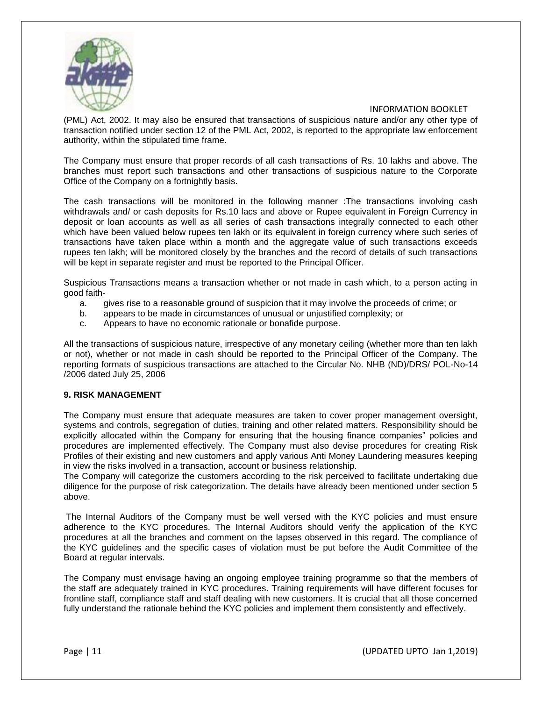

(PML) Act, 2002. It may also be ensured that transactions of suspicious nature and/or any other type of transaction notified under section 12 of the PML Act, 2002, is reported to the appropriate law enforcement authority, within the stipulated time frame.

The Company must ensure that proper records of all cash transactions of Rs. 10 lakhs and above. The branches must report such transactions and other transactions of suspicious nature to the Corporate Office of the Company on a fortnightly basis.

The cash transactions will be monitored in the following manner :The transactions involving cash withdrawals and/ or cash deposits for Rs.10 lacs and above or Rupee equivalent in Foreign Currency in deposit or loan accounts as well as all series of cash transactions integrally connected to each other which have been valued below rupees ten lakh or its equivalent in foreign currency where such series of transactions have taken place within a month and the aggregate value of such transactions exceeds rupees ten lakh; will be monitored closely by the branches and the record of details of such transactions will be kept in separate register and must be reported to the Principal Officer.

Suspicious Transactions means a transaction whether or not made in cash which, to a person acting in good faith-

- a. gives rise to a reasonable ground of suspicion that it may involve the proceeds of crime; or
- b. appears to be made in circumstances of unusual or unjustified complexity; or
- c. Appears to have no economic rationale or bonafide purpose.

All the transactions of suspicious nature, irrespective of any monetary ceiling (whether more than ten lakh or not), whether or not made in cash should be reported to the Principal Officer of the Company. The reporting formats of suspicious transactions are attached to the Circular No. NHB (ND)/DRS/ POL-No-14 /2006 dated July 25, 2006

#### **9. RISK MANAGEMENT**

The Company must ensure that adequate measures are taken to cover proper management oversight, systems and controls, segregation of duties, training and other related matters. Responsibility should be explicitly allocated within the Company for ensuring that the housing finance companies" policies and procedures are implemented effectively. The Company must also devise procedures for creating Risk Profiles of their existing and new customers and apply various Anti Money Laundering measures keeping in view the risks involved in a transaction, account or business relationship.

The Company will categorize the customers according to the risk perceived to facilitate undertaking due diligence for the purpose of risk categorization. The details have already been mentioned under section 5 above.

The Internal Auditors of the Company must be well versed with the KYC policies and must ensure adherence to the KYC procedures. The Internal Auditors should verify the application of the KYC procedures at all the branches and comment on the lapses observed in this regard. The compliance of the KYC guidelines and the specific cases of violation must be put before the Audit Committee of the Board at regular intervals.

The Company must envisage having an ongoing employee training programme so that the members of the staff are adequately trained in KYC procedures. Training requirements will have different focuses for frontline staff, compliance staff and staff dealing with new customers. It is crucial that all those concerned fully understand the rationale behind the KYC policies and implement them consistently and effectively.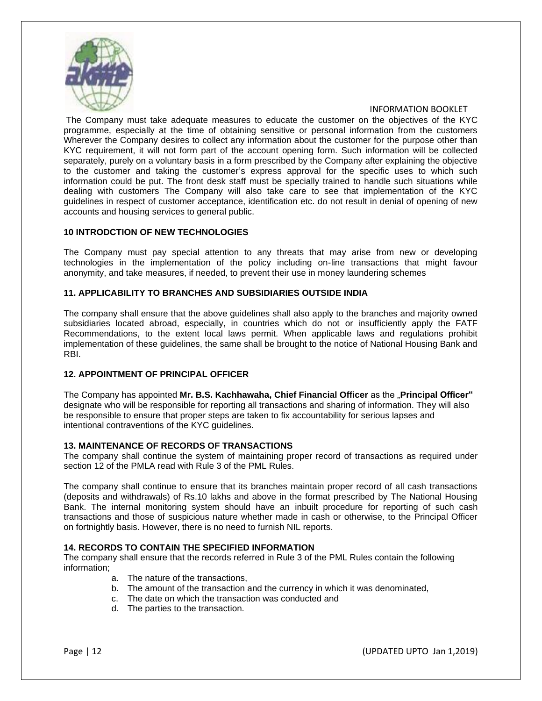

The Company must take adequate measures to educate the customer on the objectives of the KYC programme, especially at the time of obtaining sensitive or personal information from the customers Wherever the Company desires to collect any information about the customer for the purpose other than KYC requirement, it will not form part of the account opening form. Such information will be collected separately, purely on a voluntary basis in a form prescribed by the Company after explaining the objective to the customer and taking the customer's express approval for the specific uses to which such information could be put. The front desk staff must be specially trained to handle such situations while dealing with customers The Company will also take care to see that implementation of the KYC guidelines in respect of customer acceptance, identification etc. do not result in denial of opening of new accounts and housing services to general public.

#### **10 INTRODCTION OF NEW TECHNOLOGIES**

The Company must pay special attention to any threats that may arise from new or developing technologies in the implementation of the policy including on-line transactions that might favour anonymity, and take measures, if needed, to prevent their use in money laundering schemes

## **11. APPLICABILITY TO BRANCHES AND SUBSIDIARIES OUTSIDE INDIA**

The company shall ensure that the above guidelines shall also apply to the branches and majority owned subsidiaries located abroad, especially, in countries which do not or insufficiently apply the FATF Recommendations, to the extent local laws permit. When applicable laws and regulations prohibit implementation of these guidelines, the same shall be brought to the notice of National Housing Bank and RBI.

## **12. APPOINTMENT OF PRINCIPAL OFFICER**

The Company has appointed **Mr. B.S. Kachhawaha, Chief Financial Officer** as the "**Principal Officer"**  designate who will be responsible for reporting all transactions and sharing of information. They will also be responsible to ensure that proper steps are taken to fix accountability for serious lapses and intentional contraventions of the KYC guidelines.

#### **13. MAINTENANCE OF RECORDS OF TRANSACTIONS**

The company shall continue the system of maintaining proper record of transactions as required under section 12 of the PMLA read with Rule 3 of the PML Rules.

The company shall continue to ensure that its branches maintain proper record of all cash transactions (deposits and withdrawals) of Rs.10 lakhs and above in the format prescribed by The National Housing Bank. The internal monitoring system should have an inbuilt procedure for reporting of such cash transactions and those of suspicious nature whether made in cash or otherwise, to the Principal Officer on fortnightly basis. However, there is no need to furnish NIL reports.

## **14. RECORDS TO CONTAIN THE SPECIFIED INFORMATION**

The company shall ensure that the records referred in Rule 3 of the PML Rules contain the following information;

- a. The nature of the transactions,
- b. The amount of the transaction and the currency in which it was denominated,
- c. The date on which the transaction was conducted and
- d. The parties to the transaction.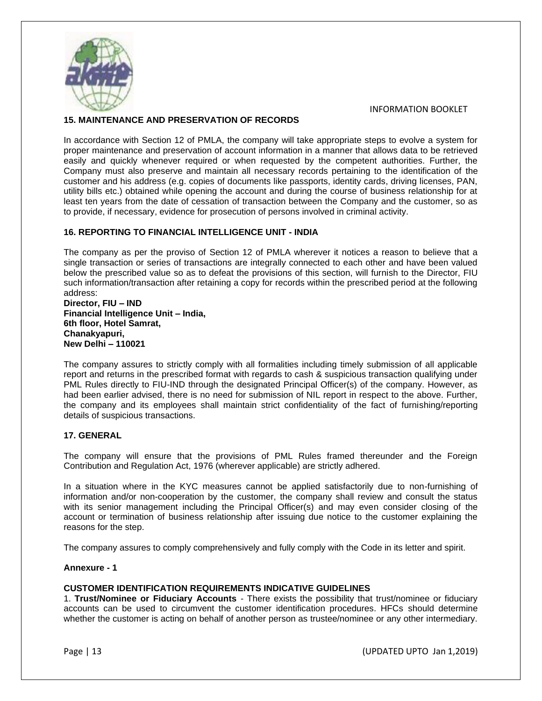

## **15. MAINTENANCE AND PRESERVATION OF RECORDS**

In accordance with Section 12 of PMLA, the company will take appropriate steps to evolve a system for proper maintenance and preservation of account information in a manner that allows data to be retrieved easily and quickly whenever required or when requested by the competent authorities. Further, the Company must also preserve and maintain all necessary records pertaining to the identification of the customer and his address (e.g. copies of documents like passports, identity cards, driving licenses, PAN, utility bills etc.) obtained while opening the account and during the course of business relationship for at least ten years from the date of cessation of transaction between the Company and the customer, so as to provide, if necessary, evidence for prosecution of persons involved in criminal activity.

## **16. REPORTING TO FINANCIAL INTELLIGENCE UNIT - INDIA**

The company as per the proviso of Section 12 of PMLA wherever it notices a reason to believe that a single transaction or series of transactions are integrally connected to each other and have been valued below the prescribed value so as to defeat the provisions of this section, will furnish to the Director, FIU such information/transaction after retaining a copy for records within the prescribed period at the following address:

#### **Director, FIU – IND Financial Intelligence Unit – India, 6th floor, Hotel Samrat, Chanakyapuri, New Delhi – 110021**

The company assures to strictly comply with all formalities including timely submission of all applicable report and returns in the prescribed format with regards to cash & suspicious transaction qualifying under PML Rules directly to FIU-IND through the designated Principal Officer(s) of the company. However, as had been earlier advised, there is no need for submission of NIL report in respect to the above. Further, the company and its employees shall maintain strict confidentiality of the fact of furnishing/reporting details of suspicious transactions.

#### **17. GENERAL**

The company will ensure that the provisions of PML Rules framed thereunder and the Foreign Contribution and Regulation Act, 1976 (wherever applicable) are strictly adhered.

In a situation where in the KYC measures cannot be applied satisfactorily due to non-furnishing of information and/or non-cooperation by the customer, the company shall review and consult the status with its senior management including the Principal Officer(s) and may even consider closing of the account or termination of business relationship after issuing due notice to the customer explaining the reasons for the step.

The company assures to comply comprehensively and fully comply with the Code in its letter and spirit.

#### **Annexure - 1**

#### **CUSTOMER IDENTIFICATION REQUIREMENTS INDICATIVE GUIDELINES**

1. **Trust/Nominee or Fiduciary Accounts** - There exists the possibility that trust/nominee or fiduciary accounts can be used to circumvent the customer identification procedures. HFCs should determine whether the customer is acting on behalf of another person as trustee/nominee or any other intermediary.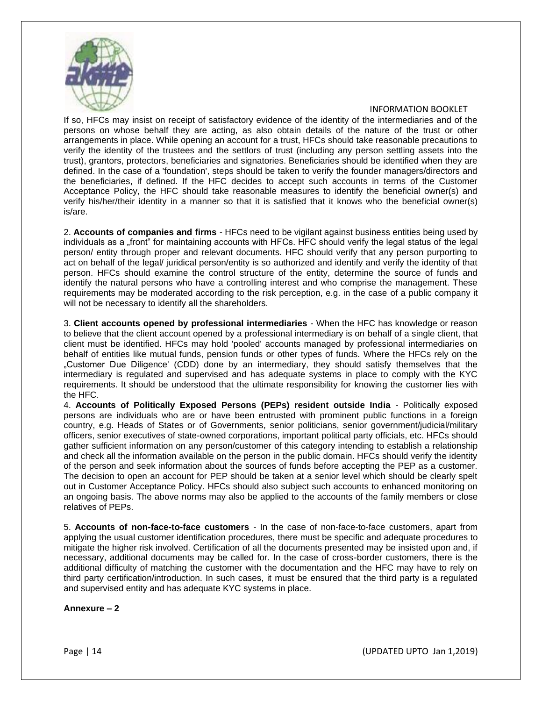

If so, HFCs may insist on receipt of satisfactory evidence of the identity of the intermediaries and of the persons on whose behalf they are acting, as also obtain details of the nature of the trust or other arrangements in place. While opening an account for a trust, HFCs should take reasonable precautions to verify the identity of the trustees and the settlors of trust (including any person settling assets into the trust), grantors, protectors, beneficiaries and signatories. Beneficiaries should be identified when they are defined. In the case of a 'foundation', steps should be taken to verify the founder managers/directors and the beneficiaries, if defined. If the HFC decides to accept such accounts in terms of the Customer Acceptance Policy, the HFC should take reasonable measures to identify the beneficial owner(s) and verify his/her/their identity in a manner so that it is satisfied that it knows who the beneficial owner(s) is/are.

2. **Accounts of companies and firms** - HFCs need to be vigilant against business entities being used by individuals as a "front" for maintaining accounts with HFCs. HFC should verify the legal status of the legal person/ entity through proper and relevant documents. HFC should verify that any person purporting to act on behalf of the legal/ juridical person/entity is so authorized and identify and verify the identity of that person. HFCs should examine the control structure of the entity, determine the source of funds and identify the natural persons who have a controlling interest and who comprise the management. These requirements may be moderated according to the risk perception, e.g. in the case of a public company it will not be necessary to identify all the shareholders.

3. **Client accounts opened by professional intermediaries** - When the HFC has knowledge or reason to believe that the client account opened by a professional intermediary is on behalf of a single client, that client must be identified. HFCs may hold 'pooled' accounts managed by professional intermediaries on behalf of entities like mutual funds, pension funds or other types of funds. Where the HFCs rely on the "Customer Due Diligence' (CDD) done by an intermediary, they should satisfy themselves that the intermediary is regulated and supervised and has adequate systems in place to comply with the KYC requirements. It should be understood that the ultimate responsibility for knowing the customer lies with the HFC.

4. **Accounts of Politically Exposed Persons (PEPs) resident outside India** - Politically exposed persons are individuals who are or have been entrusted with prominent public functions in a foreign country, e.g. Heads of States or of Governments, senior politicians, senior government/judicial/military officers, senior executives of state-owned corporations, important political party officials, etc. HFCs should gather sufficient information on any person/customer of this category intending to establish a relationship and check all the information available on the person in the public domain. HFCs should verify the identity of the person and seek information about the sources of funds before accepting the PEP as a customer. The decision to open an account for PEP should be taken at a senior level which should be clearly spelt out in Customer Acceptance Policy. HFCs should also subject such accounts to enhanced monitoring on an ongoing basis. The above norms may also be applied to the accounts of the family members or close relatives of PEPs.

5. **Accounts of non-face-to-face customers** - In the case of non-face-to-face customers, apart from applying the usual customer identification procedures, there must be specific and adequate procedures to mitigate the higher risk involved. Certification of all the documents presented may be insisted upon and, if necessary, additional documents may be called for. In the case of cross-border customers, there is the additional difficulty of matching the customer with the documentation and the HFC may have to rely on third party certification/introduction. In such cases, it must be ensured that the third party is a regulated and supervised entity and has adequate KYC systems in place.

**Annexure – 2**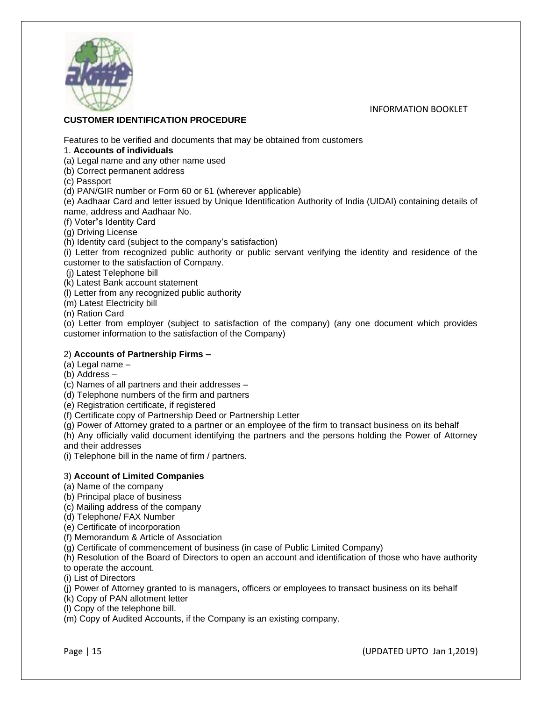

## **CUSTOMER IDENTIFICATION PROCEDURE**

Features to be verified and documents that may be obtained from customers

1. **Accounts of individuals**

(a) Legal name and any other name used

(b) Correct permanent address

(c) Passport

(d) PAN/GIR number or Form 60 or 61 (wherever applicable)

(e) Aadhaar Card and letter issued by Unique Identification Authority of India (UIDAI) containing details of name, address and Aadhaar No.

(f) Voter"s Identity Card

(g) Driving License

(h) Identity card (subject to the company's satisfaction)

(i) Letter from recognized public authority or public servant verifying the identity and residence of the customer to the satisfaction of Company.

(j) Latest Telephone bill

(k) Latest Bank account statement

(l) Letter from any recognized public authority

(m) Latest Electricity bill

(n) Ration Card

(o) Letter from employer (subject to satisfaction of the company) (any one document which provides customer information to the satisfaction of the Company)

#### 2) **Accounts of Partnership Firms –**

(a) Legal name –

(b) Address –

(c) Names of all partners and their addresses –

(d) Telephone numbers of the firm and partners

(e) Registration certificate, if registered

(f) Certificate copy of Partnership Deed or Partnership Letter

(g) Power of Attorney grated to a partner or an employee of the firm to transact business on its behalf

(h) Any officially valid document identifying the partners and the persons holding the Power of Attorney and their addresses

(i) Telephone bill in the name of firm / partners.

## 3) **Account of Limited Companies**

(a) Name of the company

(b) Principal place of business

(c) Mailing address of the company

(d) Telephone/ FAX Number

(e) Certificate of incorporation

(f) Memorandum & Article of Association

(g) Certificate of commencement of business (in case of Public Limited Company)

(h) Resolution of the Board of Directors to open an account and identification of those who have authority

to operate the account.

(i) List of Directors

(j) Power of Attorney granted to is managers, officers or employees to transact business on its behalf

(k) Copy of PAN allotment letter

(l) Copy of the telephone bill.

(m) Copy of Audited Accounts, if the Company is an existing company.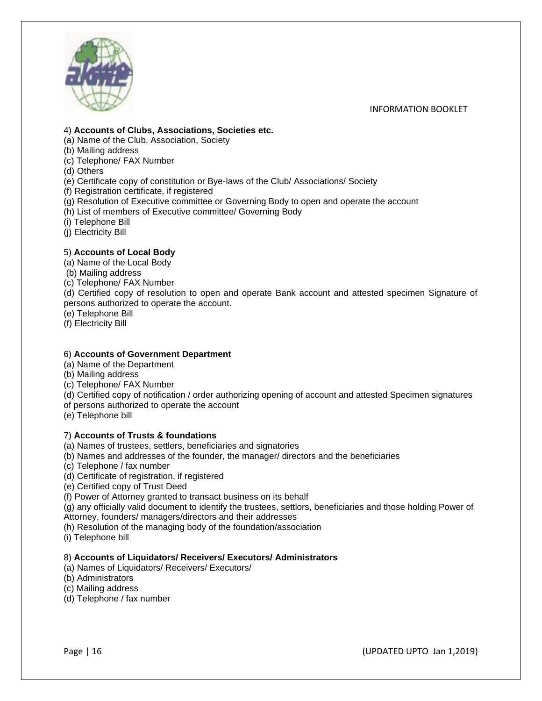

#### 4) **Accounts of Clubs, Associations, Societies etc.**

(a) Name of the Club, Association, Society

- (b) Mailing address
- (c) Telephone/ FAX Number
- (d) Others

(e) Certificate copy of constitution or Bye-laws of the Club/ Associations/ Society

(f) Registration certificate, if registered

(g) Resolution of Executive committee or Governing Body to open and operate the account

(h) List of members of Executive committee/ Governing Body

- (i) Telephone Bill
- (j) Electricity Bill

## 5) **Accounts of Local Body**

(a) Name of the Local Body

- (b) Mailing address
- (c) Telephone/ FAX Number

(d) Certified copy of resolution to open and operate Bank account and attested specimen Signature of persons authorized to operate the account.

(e) Telephone Bill

(f) Electricity Bill

## 6) **Accounts of Government Department**

- (a) Name of the Department
- (b) Mailing address
- (c) Telephone/ FAX Number

(d) Certified copy of notification / order authorizing opening of account and attested Specimen signatures

of persons authorized to operate the account

(e) Telephone bill

## 7) **Accounts of Trusts & foundations**

(a) Names of trustees, settlers, beneficiaries and signatories

- (b) Names and addresses of the founder, the manager/ directors and the beneficiaries
- (c) Telephone / fax number

(d) Certificate of registration, if registered

(e) Certified copy of Trust Deed

(f) Power of Attorney granted to transact business on its behalf

(g) any officially valid document to identify the trustees, settlors, beneficiaries and those holding Power of Attorney, founders/ managers/directors and their addresses

(h) Resolution of the managing body of the foundation/association

(i) Telephone bill

## 8) **Accounts of Liquidators/ Receivers/ Executors/ Administrators**

(a) Names of Liquidators/ Receivers/ Executors/

(b) Administrators

(c) Mailing address

(d) Telephone / fax number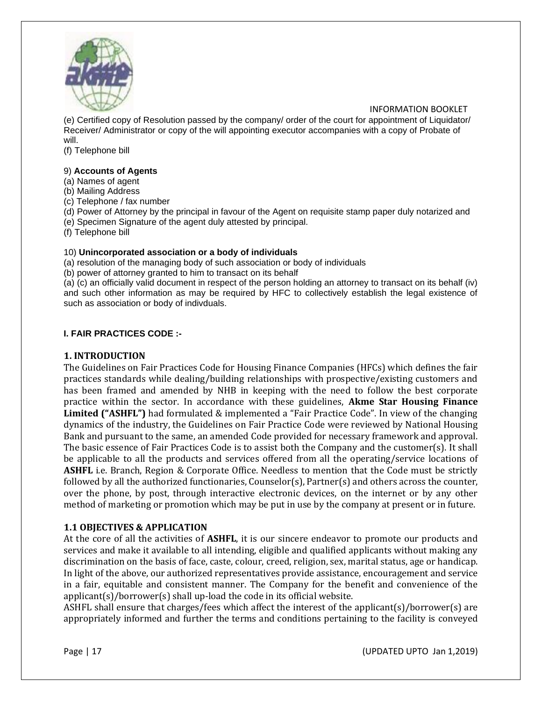

(e) Certified copy of Resolution passed by the company/ order of the court for appointment of Liquidator/ Receiver/ Administrator or copy of the will appointing executor accompanies with a copy of Probate of will.

(f) Telephone bill

#### 9) **Accounts of Agents**

(a) Names of agent

(b) Mailing Address

(c) Telephone / fax number

(d) Power of Attorney by the principal in favour of the Agent on requisite stamp paper duly notarized and

(e) Specimen Signature of the agent duly attested by principal.

(f) Telephone bill

#### 10) **Unincorporated association or a body of individuals**

(a) resolution of the managing body of such association or body of individuals

(b) power of attorney granted to him to transact on its behalf

(a) (c) an officially valid document in respect of the person holding an attorney to transact on its behalf (iv) and such other information as may be required by HFC to collectively establish the legal existence of such as association or body of indivduals.

## **I. FAIR PRACTICES CODE :-**

## **1. INTRODUCTION**

The Guidelines on Fair Practices Code for Housing Finance Companies (HFCs) which defines the fair practices standards while dealing/building relationships with prospective/existing customers and has been framed and amended by NHB in keeping with the need to follow the best corporate practice within the sector. In accordance with these guidelines, **Akme Star Housing Finance Limited ("ASHFL")** had formulated & implemented a "Fair Practice Code". In view of the changing dynamics of the industry, the Guidelines on Fair Practice Code were reviewed by National Housing Bank and pursuant to the same, an amended Code provided for necessary framework and approval. The basic essence of Fair Practices Code is to assist both the Company and the customer(s). It shall be applicable to all the products and services offered from all the operating/service locations of **ASHFL** i.e. Branch, Region & Corporate Office. Needless to mention that the Code must be strictly followed by all the authorized functionaries, Counselor(s), Partner(s) and others across the counter, over the phone, by post, through interactive electronic devices, on the internet or by any other method of marketing or promotion which may be put in use by the company at present or in future.

## **1.1 OBJECTIVES & APPLICATION**

At the core of all the activities of **ASHFL**, it is our sincere endeavor to promote our products and services and make it available to all intending, eligible and qualified applicants without making any discrimination on the basis of face, caste, colour, creed, religion, sex, marital status, age or handicap. In light of the above, our authorized representatives provide assistance, encouragement and service in a fair, equitable and consistent manner. The Company for the benefit and convenience of the applicant(s)/borrower(s) shall up-load the code in its official website.

ASHFL shall ensure that charges/fees which affect the interest of the applicant(s)/borrower(s) are appropriately informed and further the terms and conditions pertaining to the facility is conveyed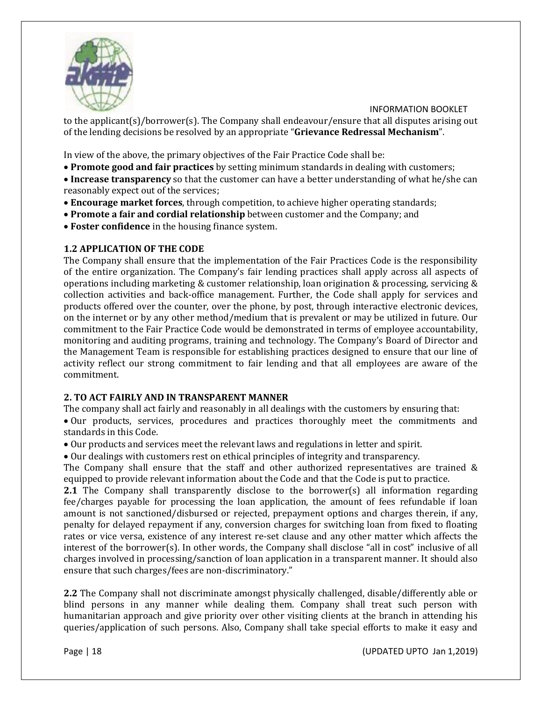

to the applicant(s)/borrower(s). The Company shall endeavour/ensure that all disputes arising out of the lending decisions be resolved by an appropriate "**Grievance Redressal Mechanism**".

In view of the above, the primary objectives of the Fair Practice Code shall be:

- **Promote good and fair practices** by setting minimum standards in dealing with customers;
- **Increase transparency** so that the customer can have a better understanding of what he/she can reasonably expect out of the services;
- **Encourage market forces**, through competition, to achieve higher operating standards;
- **Promote a fair and cordial relationship** between customer and the Company; and
- **Foster confidence** in the housing finance system.

# **1.2 APPLICATION OF THE CODE**

The Company shall ensure that the implementation of the Fair Practices Code is the responsibility of the entire organization. The Company's fair lending practices shall apply across all aspects of operations including marketing & customer relationship, loan origination & processing, servicing & collection activities and back-office management. Further, the Code shall apply for services and products offered over the counter, over the phone, by post, through interactive electronic devices, on the internet or by any other method/medium that is prevalent or may be utilized in future. Our commitment to the Fair Practice Code would be demonstrated in terms of employee accountability, monitoring and auditing programs, training and technology. The Company's Board of Director and the Management Team is responsible for establishing practices designed to ensure that our line of activity reflect our strong commitment to fair lending and that all employees are aware of the commitment.

# **2. TO ACT FAIRLY AND IN TRANSPARENT MANNER**

The company shall act fairly and reasonably in all dealings with the customers by ensuring that:

• Our products, services, procedures and practices thoroughly meet the commitments and standards in this Code.

• Our products and services meet the relevant laws and regulations in letter and spirit.

• Our dealings with customers rest on ethical principles of integrity and transparency.

The Company shall ensure that the staff and other authorized representatives are trained & equipped to provide relevant information about the Code and that the Code is put to practice.

**2.1** The Company shall transparently disclose to the borrower(s) all information regarding fee/charges payable for processing the loan application, the amount of fees refundable if loan amount is not sanctioned/disbursed or rejected, prepayment options and charges therein, if any, penalty for delayed repayment if any, conversion charges for switching loan from fixed to floating rates or vice versa, existence of any interest re-set clause and any other matter which affects the interest of the borrower(s). In other words, the Company shall disclose "all in cost" inclusive of all charges involved in processing/sanction of loan application in a transparent manner. It should also ensure that such charges/fees are non-discriminatory."

**2.2** The Company shall not discriminate amongst physically challenged, disable/differently able or blind persons in any manner while dealing them. Company shall treat such person with humanitarian approach and give priority over other visiting clients at the branch in attending his queries/application of such persons. Also, Company shall take special efforts to make it easy and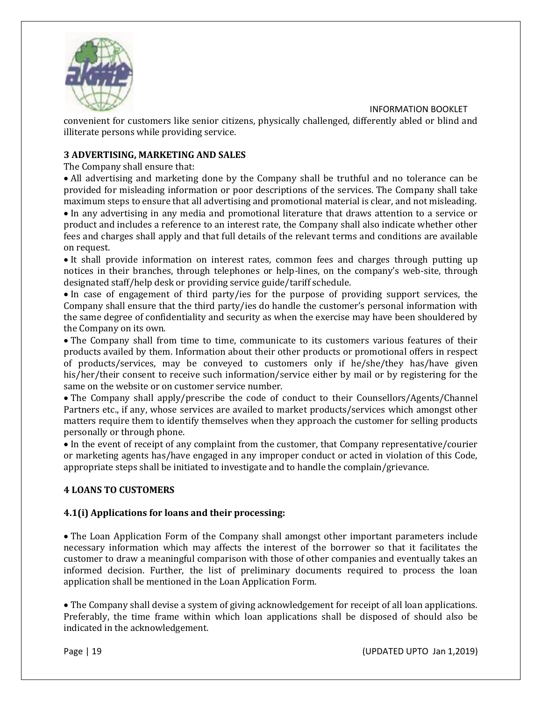

convenient for customers like senior citizens, physically challenged, differently abled or blind and illiterate persons while providing service.

# **3 ADVERTISING, MARKETING AND SALES**

The Company shall ensure that:

• All advertising and marketing done by the Company shall be truthful and no tolerance can be provided for misleading information or poor descriptions of the services. The Company shall take maximum steps to ensure that all advertising and promotional material is clear, and not misleading. • In any advertising in any media and promotional literature that draws attention to a service or product and includes a reference to an interest rate, the Company shall also indicate whether other fees and charges shall apply and that full details of the relevant terms and conditions are available on request.

• It shall provide information on interest rates, common fees and charges through putting up notices in their branches, through telephones or help-lines, on the company's web-site, through designated staff/help desk or providing service guide/tariff schedule.

• In case of engagement of third party/ies for the purpose of providing support services, the Company shall ensure that the third party/ies do handle the customer's personal information with the same degree of confidentiality and security as when the exercise may have been shouldered by the Company on its own.

• The Company shall from time to time, communicate to its customers various features of their products availed by them. Information about their other products or promotional offers in respect of products/services, may be conveyed to customers only if he/she/they has/have given his/her/their consent to receive such information/service either by mail or by registering for the same on the website or on customer service number.

• The Company shall apply/prescribe the code of conduct to their Counsellors/Agents/Channel Partners etc., if any, whose services are availed to market products/services which amongst other matters require them to identify themselves when they approach the customer for selling products personally or through phone.

• In the event of receipt of any complaint from the customer, that Company representative/courier or marketing agents has/have engaged in any improper conduct or acted in violation of this Code, appropriate steps shall be initiated to investigate and to handle the complain/grievance.

# **4 LOANS TO CUSTOMERS**

# **4.1(i) Applications for loans and their processing:**

• The Loan Application Form of the Company shall amongst other important parameters include necessary information which may affects the interest of the borrower so that it facilitates the customer to draw a meaningful comparison with those of other companies and eventually takes an informed decision. Further, the list of preliminary documents required to process the loan application shall be mentioned in the Loan Application Form.

• The Company shall devise a system of giving acknowledgement for receipt of all loan applications. Preferably, the time frame within which loan applications shall be disposed of should also be indicated in the acknowledgement.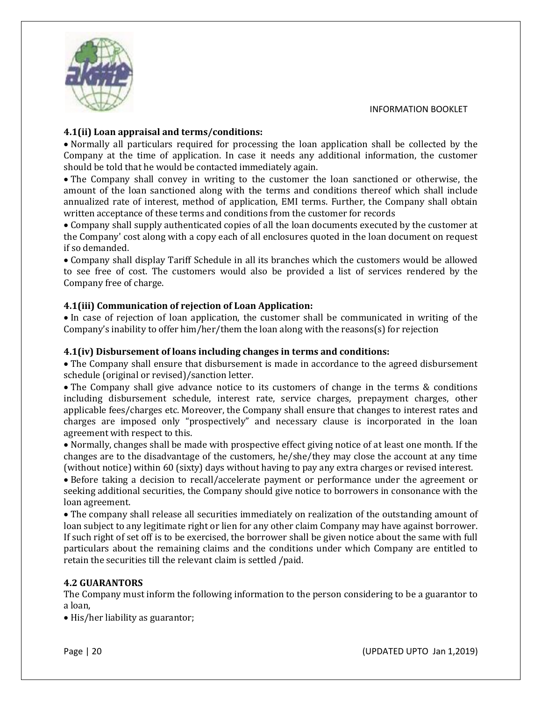

# **4.1(ii) Loan appraisal and terms/conditions:**

• Normally all particulars required for processing the loan application shall be collected by the Company at the time of application. In case it needs any additional information, the customer should be told that he would be contacted immediately again.

• The Company shall convey in writing to the customer the loan sanctioned or otherwise, the amount of the loan sanctioned along with the terms and conditions thereof which shall include annualized rate of interest, method of application, EMI terms. Further, the Company shall obtain written acceptance of these terms and conditions from the customer for records

• Company shall supply authenticated copies of all the loan documents executed by the customer at the Company' cost along with a copy each of all enclosures quoted in the loan document on request if so demanded.

• Company shall display Tariff Schedule in all its branches which the customers would be allowed to see free of cost. The customers would also be provided a list of services rendered by the Company free of charge.

# **4.1(iii) Communication of rejection of Loan Application:**

• In case of rejection of loan application, the customer shall be communicated in writing of the Company's inability to offer him/her/them the loan along with the reasons(s) for rejection

# **4.1(iv) Disbursement of loans including changes in terms and conditions:**

• The Company shall ensure that disbursement is made in accordance to the agreed disbursement schedule (original or revised)/sanction letter.

• The Company shall give advance notice to its customers of change in the terms & conditions including disbursement schedule, interest rate, service charges, prepayment charges, other applicable fees/charges etc. Moreover, the Company shall ensure that changes to interest rates and charges are imposed only "prospectively" and necessary clause is incorporated in the loan agreement with respect to this.

• Normally, changes shall be made with prospective effect giving notice of at least one month. If the changes are to the disadvantage of the customers, he/she/they may close the account at any time (without notice) within 60 (sixty) days without having to pay any extra charges or revised interest.

• Before taking a decision to recall/accelerate payment or performance under the agreement or seeking additional securities, the Company should give notice to borrowers in consonance with the loan agreement.

• The company shall release all securities immediately on realization of the outstanding amount of loan subject to any legitimate right or lien for any other claim Company may have against borrower. If such right of set off is to be exercised, the borrower shall be given notice about the same with full particulars about the remaining claims and the conditions under which Company are entitled to retain the securities till the relevant claim is settled /paid.

# **4.2 GUARANTORS**

The Company must inform the following information to the person considering to be a guarantor to a loan,

• His/her liability as guarantor;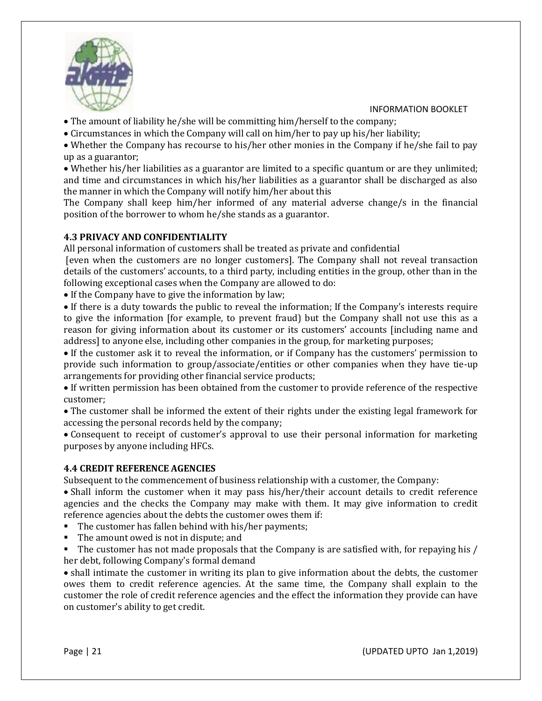

• The amount of liability he/she will be committing him/herself to the company;

• Circumstances in which the Company will call on him/her to pay up his/her liability;

• Whether the Company has recourse to his/her other monies in the Company if he/she fail to pay up as a guarantor;

• Whether his/her liabilities as a guarantor are limited to a specific quantum or are they unlimited; and time and circumstances in which his/her liabilities as a guarantor shall be discharged as also the manner in which the Company will notify him/her about this

The Company shall keep him/her informed of any material adverse change/s in the financial position of the borrower to whom he/she stands as a guarantor.

# **4.3 PRIVACY AND CONFIDENTIALITY**

All personal information of customers shall be treated as private and confidential

[even when the customers are no longer customers]. The Company shall not reveal transaction details of the customers' accounts, to a third party, including entities in the group, other than in the following exceptional cases when the Company are allowed to do:

• If the Company have to give the information by law;

• If there is a duty towards the public to reveal the information; If the Company's interests require to give the information [for example, to prevent fraud) but the Company shall not use this as a reason for giving information about its customer or its customers' accounts [including name and address] to anyone else, including other companies in the group, for marketing purposes;

• If the customer ask it to reveal the information, or if Company has the customers' permission to provide such information to group/associate/entities or other companies when they have tie-up arrangements for providing other financial service products;

• If written permission has been obtained from the customer to provide reference of the respective customer;

• The customer shall be informed the extent of their rights under the existing legal framework for accessing the personal records held by the company;

• Consequent to receipt of customer's approval to use their personal information for marketing purposes by anyone including HFCs.

## **4.4 CREDIT REFERENCE AGENCIES**

Subsequent to the commencement of business relationship with a customer, the Company:

• Shall inform the customer when it may pass his/her/their account details to credit reference agencies and the checks the Company may make with them. It may give information to credit reference agencies about the debts the customer owes them if:

- The customer has fallen behind with his/her payments;
- The amount owed is not in dispute; and
- The customer has not made proposals that the Company is are satisfied with, for repaying his / her debt, following Company's formal demand

• shall intimate the customer in writing its plan to give information about the debts, the customer owes them to credit reference agencies. At the same time, the Company shall explain to the customer the role of credit reference agencies and the effect the information they provide can have on customer's ability to get credit.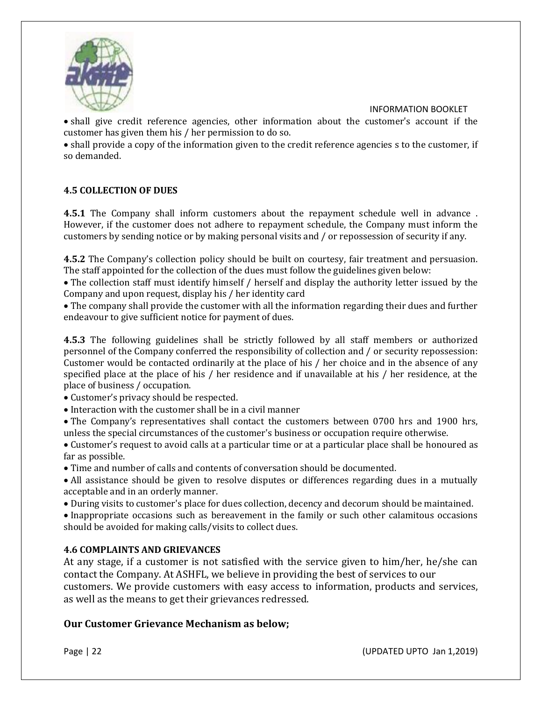

• shall give credit reference agencies, other information about the customer's account if the customer has given them his / her permission to do so.

• shall provide a copy of the information given to the credit reference agencies s to the customer, if so demanded.

# **4.5 COLLECTION OF DUES**

**4.5.1** The Company shall inform customers about the repayment schedule well in advance . However, if the customer does not adhere to repayment schedule, the Company must inform the customers by sending notice or by making personal visits and / or repossession of security if any.

**4.5.2** The Company's collection policy should be built on courtesy, fair treatment and persuasion. The staff appointed for the collection of the dues must follow the guidelines given below:

• The collection staff must identify himself / herself and display the authority letter issued by the Company and upon request, display his / her identity card

• The company shall provide the customer with all the information regarding their dues and further endeavour to give sufficient notice for payment of dues.

**4.5.3** The following guidelines shall be strictly followed by all staff members or authorized personnel of the Company conferred the responsibility of collection and / or security repossession: Customer would be contacted ordinarily at the place of his / her choice and in the absence of any specified place at the place of his / her residence and if unavailable at his / her residence, at the place of business / occupation.

• Customer's privacy should be respected.

• Interaction with the customer shall be in a civil manner

• The Company's representatives shall contact the customers between 0700 hrs and 1900 hrs, unless the special circumstances of the customer's business or occupation require otherwise.

• Customer's request to avoid calls at a particular time or at a particular place shall be honoured as far as possible.

• Time and number of calls and contents of conversation should be documented.

• All assistance should be given to resolve disputes or differences regarding dues in a mutually acceptable and in an orderly manner.

• During visits to customer's place for dues collection, decency and decorum should be maintained.

• Inappropriate occasions such as bereavement in the family or such other calamitous occasions should be avoided for making calls/visits to collect dues.

# **4.6 COMPLAINTS AND GRIEVANCES**

At any stage, if a customer is not satisfied with the service given to him/her, he/she can contact the Company. At ASHFL, we believe in providing the best of services to our customers. We provide customers with easy access to information, products and services, as well as the means to get their grievances redressed.

# **Our Customer Grievance Mechanism as below;**

Page | 22 **(UPDATED UPTO Jan 1,2019**)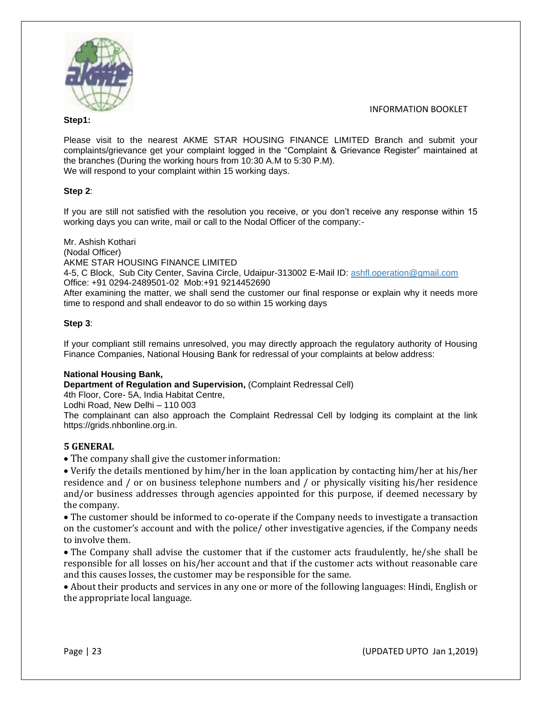

#### **Step1:**

Please visit to the nearest AKME STAR HOUSING FINANCE LIMITED Branch and submit your complaints/grievance get your complaint logged in the "Complaint & Grievance Register" maintained at the branches (During the working hours from 10:30 A.M to 5:30 P.M). We will respond to your complaint within 15 working days.

## **Step 2**:

If you are still not satisfied with the resolution you receive, or you don't receive any response within 15 working days you can write, mail or call to the Nodal Officer of the company:-

Mr. Ashish Kothari (Nodal Officer) AKME STAR HOUSING FINANCE LIMITED 4-5, C Block, Sub City Center, Savina Circle, Udaipur-313002 E-Mail ID: [ashfl.operation@gmail.com](mailto:ashfl.operation@gmail.com) Office: +91 0294-2489501-02 Mob:+91 9214452690 After examining the matter, we shall send the customer our final response or explain why it needs more time to respond and shall endeavor to do so within 15 working days

## **Step 3**:

If your compliant still remains unresolved, you may directly approach the regulatory authority of Housing Finance Companies, National Housing Bank for redressal of your complaints at below address:

## **National Housing Bank,**

**Department of Regulation and Supervision,** (Complaint Redressal Cell)

4th Floor, Core- 5A, India Habitat Centre,

Lodhi Road, New Delhi – 110 003

The complainant can also approach the Complaint Redressal Cell by lodging its complaint at the link https://grids.nhbonline.org.in.

## **5 GENERAL**

• The company shall give the customer information:

• Verify the details mentioned by him/her in the loan application by contacting him/her at his/her residence and / or on business telephone numbers and / or physically visiting his/her residence and/or business addresses through agencies appointed for this purpose, if deemed necessary by the company.

• The customer should be informed to co-operate if the Company needs to investigate a transaction on the customer's account and with the police/ other investigative agencies, if the Company needs to involve them.

• The Company shall advise the customer that if the customer acts fraudulently, he/she shall be responsible for all losses on his/her account and that if the customer acts without reasonable care and this causes losses, the customer may be responsible for the same.

• About their products and services in any one or more of the following languages: Hindi, English or the appropriate local language.

Page | 23 (UPDATED UPTO Jan 1,2019)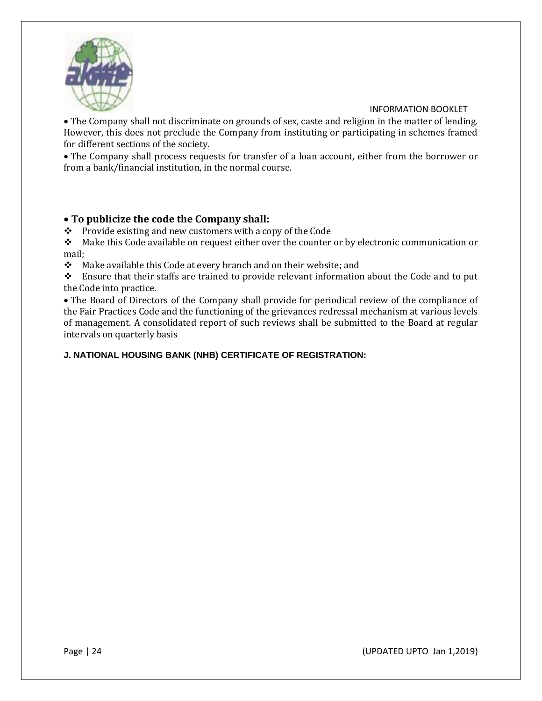

• The Company shall not discriminate on grounds of sex, caste and religion in the matter of lending. However, this does not preclude the Company from instituting or participating in schemes framed for different sections of the society.

• The Company shall process requests for transfer of a loan account, either from the borrower or from a bank/financial institution, in the normal course.

# • **To publicize the code the Company shall:**

❖ Provide existing and new customers with a copy of the Code

❖ Make this Code available on request either over the counter or by electronic communication or mail;

❖ Make available this Code at every branch and on their website; and

❖ Ensure that their staffs are trained to provide relevant information about the Code and to put the Code into practice.

• The Board of Directors of the Company shall provide for periodical review of the compliance of the Fair Practices Code and the functioning of the grievances redressal mechanism at various levels of management. A consolidated report of such reviews shall be submitted to the Board at regular intervals on quarterly basis

# **J. NATIONAL HOUSING BANK (NHB) CERTIFICATE OF REGISTRATION:**